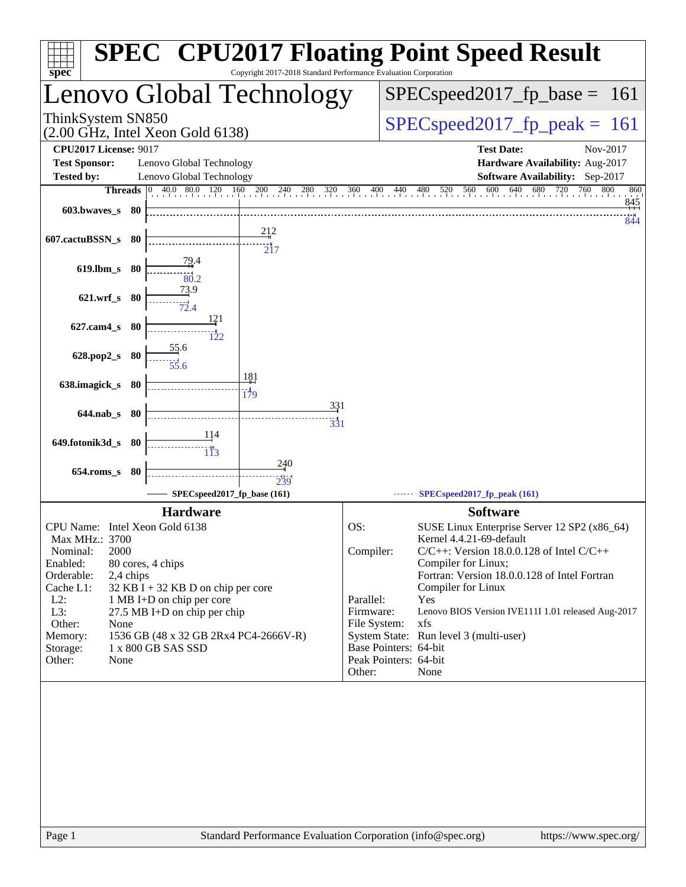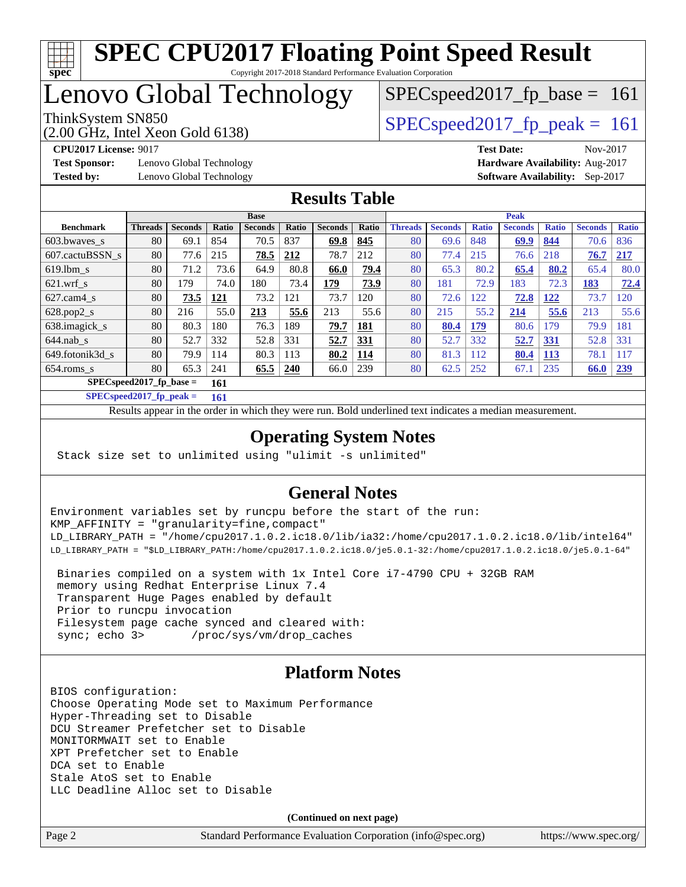

# **[SPEC CPU2017 Floating Point Speed Result](http://www.spec.org/auto/cpu2017/Docs/result-fields.html#SPECCPU2017FloatingPointSpeedResult)**

Copyright 2017-2018 Standard Performance Evaluation Corporation

# Lenovo Global Technology

ThinkSystem SN850<br>  $SPECspeed2017$  fp\_peak = 161

SPECspeed2017 fp base =  $161$ 

(2.00 GHz, Intel Xeon Gold 6138)

**[Test Sponsor:](http://www.spec.org/auto/cpu2017/Docs/result-fields.html#TestSponsor)** Lenovo Global Technology **[Hardware Availability:](http://www.spec.org/auto/cpu2017/Docs/result-fields.html#HardwareAvailability)** Aug-2017

**[CPU2017 License:](http://www.spec.org/auto/cpu2017/Docs/result-fields.html#CPU2017License)** 9017 **[Test Date:](http://www.spec.org/auto/cpu2017/Docs/result-fields.html#TestDate)** Nov-2017 **[Tested by:](http://www.spec.org/auto/cpu2017/Docs/result-fields.html#Testedby)** Lenovo Global Technology **[Software Availability:](http://www.spec.org/auto/cpu2017/Docs/result-fields.html#SoftwareAvailability)** Sep-2017

#### **[Results Table](http://www.spec.org/auto/cpu2017/Docs/result-fields.html#ResultsTable)**

|                                  | <b>Base</b>    |                |            |                |       |                | <b>Peak</b> |                |                |              |                |              |                |              |
|----------------------------------|----------------|----------------|------------|----------------|-------|----------------|-------------|----------------|----------------|--------------|----------------|--------------|----------------|--------------|
| <b>Benchmark</b>                 | <b>Threads</b> | <b>Seconds</b> | Ratio      | <b>Seconds</b> | Ratio | <b>Seconds</b> | Ratio       | <b>Threads</b> | <b>Seconds</b> | <b>Ratio</b> | <b>Seconds</b> | <b>Ratio</b> | <b>Seconds</b> | <b>Ratio</b> |
| 603.bwayes s                     | 80             | 69.1           | 854        | 70.5           | 837   | 69.8           | 845         | 80             | 69.6           | 848          | 69.9           | 844          | 70.6           | 836          |
| 607.cactuBSSN s                  | 80             | 77.6           | 215        | 78.5           | 212   | 78.7           | 212         | 80             | 77.4           | 215          | 76.6           | 218          | 76.7           | 217          |
| $619.1$ bm s                     | 80             | 71.2           | 73.6       | 64.9           | 80.8  | 66.0           | 79.4        | 80             | 65.3           | 80.2         | 65.4           | 80.2         | 65.4           | 80.0         |
| $621.wrf$ s                      | 80             | 179            | 74.0       | 180            | 73.4  | 179            | 73.9        | 80             | 181            | 72.9         | 183            | 72.3         | 183            | 72.4         |
| $627$ .cam4 s                    | 80             | 73.5           | <u>121</u> | 73.2           | 121   | 73.7           | 120         | 80             | 72.6           | 122          | 72.8           | 122          | 73.7           | 120          |
| $628.pop2_s$                     | 80             | 216            | 55.0       | 213            | 55.6  | 213            | 55.6        | 80             | 215            | 55.2         | 214            | 55.6         | 213            | 55.6         |
| 638.imagick_s                    | 80             | 80.3           | 180        | 76.3           | 189   | 79.7           | 181         | 80             | 80.4           | 179          | 80.6           | 179          | 79.9           | 181          |
| $644$ .nab s                     | 80             | 52.7           | 332        | 52.8           | 331   | 52.7           | 331         | 80             | 52.7           | 332          | 52.7           | 331          | 52.8           | 331          |
| 649.fotonik3d s                  | 80             | 79.9           | 114        | 80.3           | 113   | 80.2           | <b>114</b>  | 80             | 81.3           | 112          | 80.4           | 113          | 78.1           | 117          |
| $654$ .roms s                    | 80             | 65.3           | 241        | 65.5           | 240   | 66.0           | 239         | 80             | 62.5           | 252          | 67.1           | 235          | 66.0           | 239          |
| $SPECspeed2017$ fp base =<br>161 |                |                |            |                |       |                |             |                |                |              |                |              |                |              |

**[SPECspeed2017\\_fp\\_peak =](http://www.spec.org/auto/cpu2017/Docs/result-fields.html#SPECspeed2017fppeak) 161**

Results appear in the [order in which they were run.](http://www.spec.org/auto/cpu2017/Docs/result-fields.html#RunOrder) Bold underlined text [indicates a median measurement](http://www.spec.org/auto/cpu2017/Docs/result-fields.html#Median).

#### **[Operating System Notes](http://www.spec.org/auto/cpu2017/Docs/result-fields.html#OperatingSystemNotes)**

Stack size set to unlimited using "ulimit -s unlimited"

#### **[General Notes](http://www.spec.org/auto/cpu2017/Docs/result-fields.html#GeneralNotes)**

Environment variables set by runcpu before the start of the run: KMP\_AFFINITY = "granularity=fine,compact" LD\_LIBRARY\_PATH = "/home/cpu2017.1.0.2.ic18.0/lib/ia32:/home/cpu2017.1.0.2.ic18.0/lib/intel64" LD\_LIBRARY\_PATH = "\$LD\_LIBRARY\_PATH:/home/cpu2017.1.0.2.ic18.0/je5.0.1-32:/home/cpu2017.1.0.2.ic18.0/je5.0.1-64"

 Binaries compiled on a system with 1x Intel Core i7-4790 CPU + 32GB RAM memory using Redhat Enterprise Linux 7.4 Transparent Huge Pages enabled by default Prior to runcpu invocation Filesystem page cache synced and cleared with: sync; echo 3> /proc/sys/vm/drop\_caches

#### **[Platform Notes](http://www.spec.org/auto/cpu2017/Docs/result-fields.html#PlatformNotes)**

BIOS configuration: Choose Operating Mode set to Maximum Performance Hyper-Threading set to Disable DCU Streamer Prefetcher set to Disable MONITORMWAIT set to Enable XPT Prefetcher set to Enable DCA set to Enable Stale AtoS set to Enable LLC Deadline Alloc set to Disable

**(Continued on next page)**

Page 2 Standard Performance Evaluation Corporation [\(info@spec.org\)](mailto:info@spec.org) <https://www.spec.org/>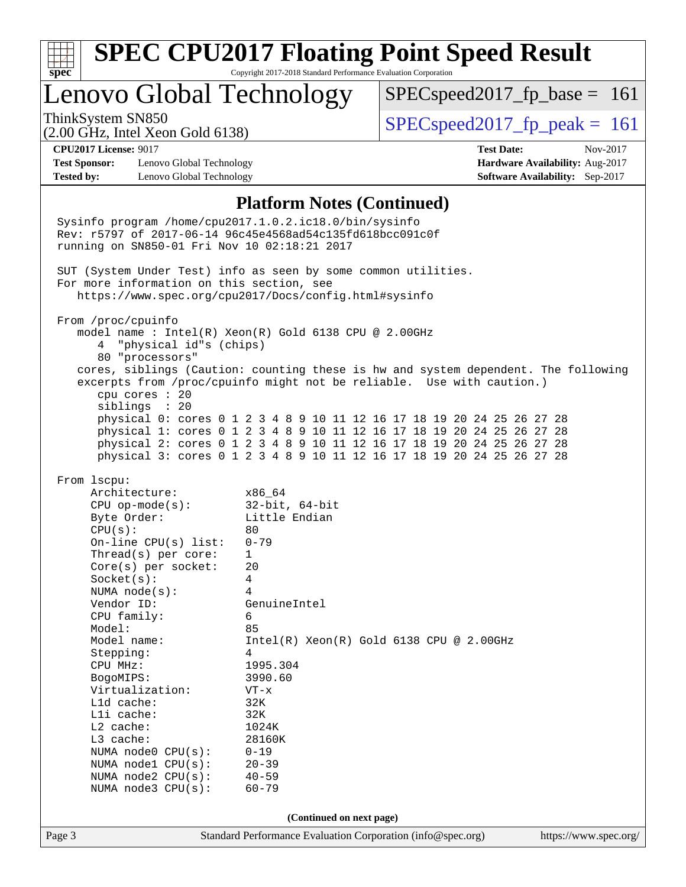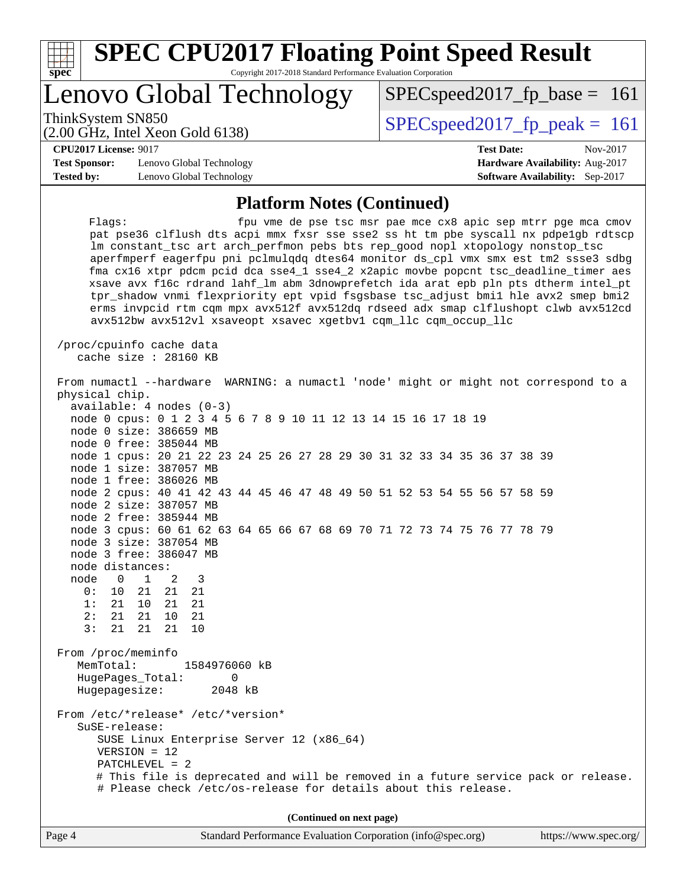| S.<br>Ľ<br>t i |  |  |  |  |  |
|----------------|--|--|--|--|--|

# **[SPEC CPU2017 Floating Point Speed Result](http://www.spec.org/auto/cpu2017/Docs/result-fields.html#SPECCPU2017FloatingPointSpeedResult)**

Copyright 2017-2018 Standard Performance Evaluation Corporation

# Lenovo Global Technology

SPECspeed2017 fp peak =  $161$ 

SPECspeed2017 fp base =  $161$ 

# (2.00 GHz, Intel Xeon Gold 6138)

**[CPU2017 License:](http://www.spec.org/auto/cpu2017/Docs/result-fields.html#CPU2017License)** 9017 **[Test Date:](http://www.spec.org/auto/cpu2017/Docs/result-fields.html#TestDate)** Nov-2017

**[Test Sponsor:](http://www.spec.org/auto/cpu2017/Docs/result-fields.html#TestSponsor)** Lenovo Global Technology **[Hardware Availability:](http://www.spec.org/auto/cpu2017/Docs/result-fields.html#HardwareAvailability)** Aug-2017 **[Tested by:](http://www.spec.org/auto/cpu2017/Docs/result-fields.html#Testedby)** Lenovo Global Technology **[Software Availability:](http://www.spec.org/auto/cpu2017/Docs/result-fields.html#SoftwareAvailability)** Sep-2017

#### **[Platform Notes \(Continued\)](http://www.spec.org/auto/cpu2017/Docs/result-fields.html#PlatformNotes)**

Flags: fpu vme de pse tsc msr pae mce cx8 apic sep mtrr pge mca cmov pat pse36 clflush dts acpi mmx fxsr sse sse2 ss ht tm pbe syscall nx pdpe1gb rdtscp lm constant\_tsc art arch\_perfmon pebs bts rep\_good nopl xtopology nonstop\_tsc aperfmperf eagerfpu pni pclmulqdq dtes64 monitor ds\_cpl vmx smx est tm2 ssse3 sdbg fma cx16 xtpr pdcm pcid dca sse4\_1 sse4\_2 x2apic movbe popcnt tsc\_deadline\_timer aes xsave avx f16c rdrand lahf\_lm abm 3dnowprefetch ida arat epb pln pts dtherm intel\_pt tpr\_shadow vnmi flexpriority ept vpid fsgsbase tsc\_adjust bmi1 hle avx2 smep bmi2 erms invpcid rtm cqm mpx avx512f avx512dq rdseed adx smap clflushopt clwb avx512cd avx512bw avx512vl xsaveopt xsavec xgetbv1 cqm\_llc cqm\_occup\_llc

 /proc/cpuinfo cache data cache size : 28160 KB

|                        | From numactl --hardware WARNING: a numactl 'node' might or might not correspond to a |                       |
|------------------------|--------------------------------------------------------------------------------------|-----------------------|
| physical chip.         |                                                                                      |                       |
|                        | $available: 4 nodes (0-3)$                                                           |                       |
|                        | node 0 cpus: 0 1 2 3 4 5 6 7 8 9 10 11 12 13 14 15 16 17 18 19                       |                       |
| node 0 size: 386659 MB |                                                                                      |                       |
| node 0 free: 385044 MB |                                                                                      |                       |
|                        | node 1 cpus: 20 21 22 23 24 25 26 27 28 29 30 31 32 33 34 35 36 37 38 39             |                       |
| node 1 size: 387057 MB |                                                                                      |                       |
| node 1 free: 386026 MB |                                                                                      |                       |
|                        | node 2 cpus: 40 41 42 43 44 45 46 47 48 49 50 51 52 53 54 55 56 57 58 59             |                       |
| node 2 size: 387057 MB |                                                                                      |                       |
| node 2 free: 385944 MB |                                                                                      |                       |
|                        | node 3 cpus: 60 61 62 63 64 65 66 67 68 69 70 71 72 73 74 75 76 77 78 79             |                       |
| node 3 size: 387054 MB |                                                                                      |                       |
| node 3 free: 386047 MB |                                                                                      |                       |
| node distances:        |                                                                                      |                       |
| node<br>$0 \t 1$       | 2<br>3                                                                               |                       |
| 0:                     | 10 21 21 21                                                                          |                       |
| 1:<br>21 10 21         | 21                                                                                   |                       |
| 2:<br>21  21  10       | 21                                                                                   |                       |
| 3:<br>21               | 21 21<br>10                                                                          |                       |
|                        |                                                                                      |                       |
| From /proc/meminfo     |                                                                                      |                       |
| MemTotal:              | 1584976060 kB                                                                        |                       |
| HugePages_Total:       | 0                                                                                    |                       |
| Hugepagesize:          | 2048 kB                                                                              |                       |
|                        |                                                                                      |                       |
| SuSE-release:          | From /etc/*release* /etc/*version*                                                   |                       |
|                        |                                                                                      |                       |
| $VERSION = 12$         | SUSE Linux Enterprise Server 12 (x86_64)                                             |                       |
| $PATCHLEVEL = 2$       |                                                                                      |                       |
|                        | # This file is deprecated and will be removed in a future service pack or release.   |                       |
|                        | # Please check /etc/os-release for details about this release.                       |                       |
|                        |                                                                                      |                       |
|                        | (Continued on next page)                                                             |                       |
|                        |                                                                                      |                       |
| Page 4                 | Standard Performance Evaluation Corporation (info@spec.org)                          | https://www.spec.org/ |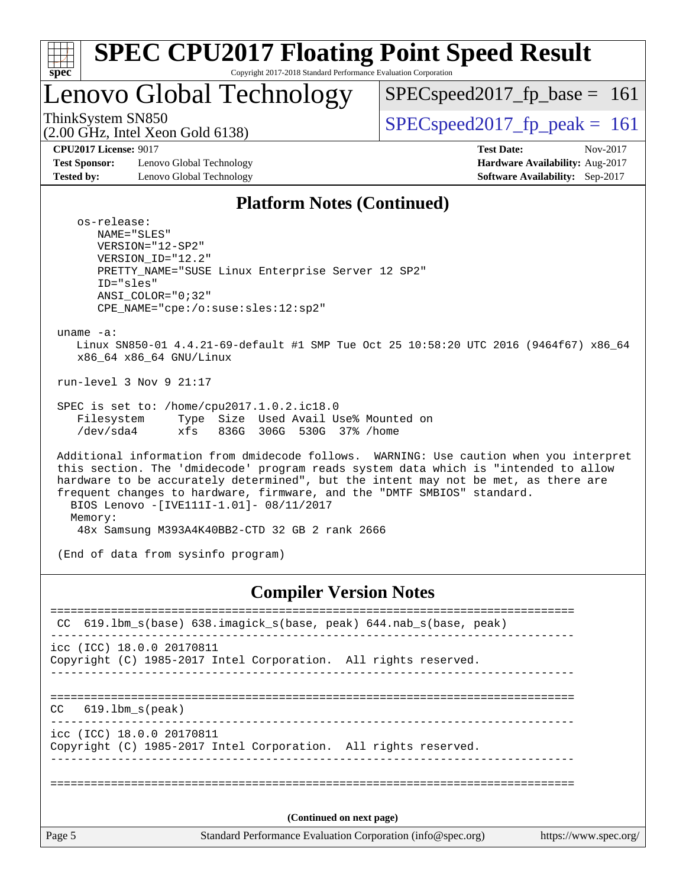| e.<br>c |  |  |  |  |  |
|---------|--|--|--|--|--|

# Lenovo Global Technology

SPECspeed2017 fp base =  $161$ 

(2.00 GHz, Intel Xeon Gold 6138)

ThinkSystem SN850<br>  $SPEC speed2017$  fp\_peak = 161

**[Test Sponsor:](http://www.spec.org/auto/cpu2017/Docs/result-fields.html#TestSponsor)** Lenovo Global Technology **[Hardware Availability:](http://www.spec.org/auto/cpu2017/Docs/result-fields.html#HardwareAvailability)** Aug-2017 **[Tested by:](http://www.spec.org/auto/cpu2017/Docs/result-fields.html#Testedby)** Lenovo Global Technology **[Software Availability:](http://www.spec.org/auto/cpu2017/Docs/result-fields.html#SoftwareAvailability)** Sep-2017

**[CPU2017 License:](http://www.spec.org/auto/cpu2017/Docs/result-fields.html#CPU2017License)** 9017 **[Test Date:](http://www.spec.org/auto/cpu2017/Docs/result-fields.html#TestDate)** Nov-2017

#### **[Platform Notes \(Continued\)](http://www.spec.org/auto/cpu2017/Docs/result-fields.html#PlatformNotes)**

 os-release: NAME="SLES" VERSION="12-SP2" VERSION\_ID="12.2" PRETTY\_NAME="SUSE Linux Enterprise Server 12 SP2" ID="sles" ANSI\_COLOR="0;32" CPE\_NAME="cpe:/o:suse:sles:12:sp2"

uname -a:

 Linux SN850-01 4.4.21-69-default #1 SMP Tue Oct 25 10:58:20 UTC 2016 (9464f67) x86\_64 x86\_64 x86\_64 GNU/Linux

run-level 3 Nov 9 21:17

 SPEC is set to: /home/cpu2017.1.0.2.ic18.0 Filesystem Type Size Used Avail Use% Mounted on /dev/sda4 xfs 836G 306G 530G 37% /home

 Additional information from dmidecode follows. WARNING: Use caution when you interpret this section. The 'dmidecode' program reads system data which is "intended to allow hardware to be accurately determined", but the intent may not be met, as there are frequent changes to hardware, firmware, and the "DMTF SMBIOS" standard. BIOS Lenovo -[IVE111I-1.01]- 08/11/2017 Memory: 48x Samsung M393A4K40BB2-CTD 32 GB 2 rank 2666

(End of data from sysinfo program)

#### **[Compiler Version Notes](http://www.spec.org/auto/cpu2017/Docs/result-fields.html#CompilerVersionNotes)**

|                                                                                                | CC 619.1bm_s(base) 638.imagick_s(base, peak) 644.nab_s(base, peak)                           |  |
|------------------------------------------------------------------------------------------------|----------------------------------------------------------------------------------------------|--|
|                                                                                                | icc (ICC) 18.0.0 20170811<br>Copyright (C) 1985-2017 Intel Corporation. All rights reserved. |  |
| CC.                                                                                            | 619.1bm s(peak)                                                                              |  |
|                                                                                                | icc (ICC) 18.0.0 20170811<br>Copyright (C) 1985-2017 Intel Corporation. All rights reserved. |  |
|                                                                                                | (Continued on next page)                                                                     |  |
|                                                                                                |                                                                                              |  |
| Page 5<br>Standard Performance Evaluation Corporation (info@spec.org)<br>https://www.spec.org/ |                                                                                              |  |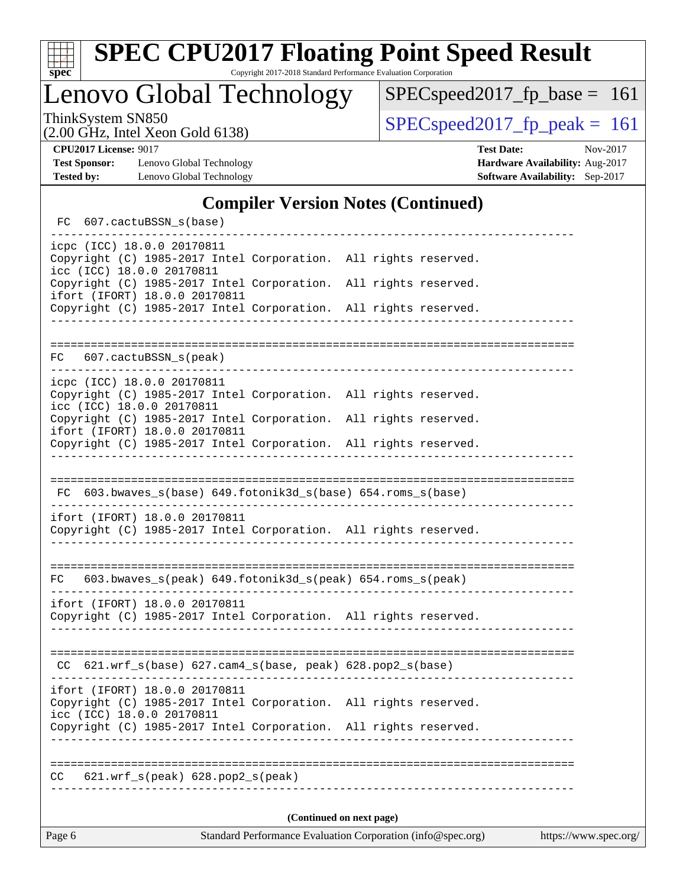

# **[SPEC CPU2017 Floating Point Speed Result](http://www.spec.org/auto/cpu2017/Docs/result-fields.html#SPECCPU2017FloatingPointSpeedResult)**

Copyright 2017-2018 Standard Performance Evaluation Corporation

Lenovo Global Technology

[SPECspeed2017\\_fp\\_base =](http://www.spec.org/auto/cpu2017/Docs/result-fields.html#SPECspeed2017fpbase) 161

(2.00 GHz, Intel Xeon Gold 6138)

ThinkSystem SN850<br>  $(2.00 \text{ GHz})$  Intel Xeon Gold 6138)

**[Test Sponsor:](http://www.spec.org/auto/cpu2017/Docs/result-fields.html#TestSponsor)** Lenovo Global Technology **[Hardware Availability:](http://www.spec.org/auto/cpu2017/Docs/result-fields.html#HardwareAvailability)** Aug-2017 **[Tested by:](http://www.spec.org/auto/cpu2017/Docs/result-fields.html#Testedby)** Lenovo Global Technology **[Software Availability:](http://www.spec.org/auto/cpu2017/Docs/result-fields.html#SoftwareAvailability)** Sep-2017

**[CPU2017 License:](http://www.spec.org/auto/cpu2017/Docs/result-fields.html#CPU2017License)** 9017 **[Test Date:](http://www.spec.org/auto/cpu2017/Docs/result-fields.html#TestDate)** Nov-2017

### **[Compiler Version Notes \(Continued\)](http://www.spec.org/auto/cpu2017/Docs/result-fields.html#CompilerVersionNotes)**

| FC 607.cactuBSSN_s(base)                                                                                                      |                                     |  |  |  |
|-------------------------------------------------------------------------------------------------------------------------------|-------------------------------------|--|--|--|
| icpc (ICC) 18.0.0 20170811<br>Copyright (C) 1985-2017 Intel Corporation. All rights reserved.<br>icc (ICC) 18.0.0 20170811    |                                     |  |  |  |
| Copyright (C) 1985-2017 Intel Corporation.<br>ifort (IFORT) 18.0.0 20170811                                                   | All rights reserved.                |  |  |  |
| Copyright (C) 1985-2017 Intel Corporation. All rights reserved.                                                               |                                     |  |  |  |
|                                                                                                                               |                                     |  |  |  |
| 607.cactuBSSN_s(peak)<br>FC                                                                                                   |                                     |  |  |  |
| icpc (ICC) 18.0.0 20170811<br>Copyright (C) 1985-2017 Intel Corporation. All rights reserved.<br>icc (ICC) 18.0.0 20170811    |                                     |  |  |  |
| Copyright (C) 1985-2017 Intel Corporation. All rights reserved.<br>ifort (IFORT) 18.0.0 20170811                              |                                     |  |  |  |
| Copyright (C) 1985-2017 Intel Corporation. All rights reserved.                                                               |                                     |  |  |  |
|                                                                                                                               |                                     |  |  |  |
| FC 603.bwaves_s(base) 649.fotonik3d_s(base) 654.roms_s(base)                                                                  |                                     |  |  |  |
| ifort (IFORT) 18.0.0 20170811<br>Copyright (C) 1985-2017 Intel Corporation. All rights reserved.                              |                                     |  |  |  |
| FC 603.bwaves_s(peak) 649.fotonik3d_s(peak) 654.roms_s(peak)                                                                  |                                     |  |  |  |
| ifort (IFORT) 18.0.0 20170811<br>Copyright (C) 1985-2017 Intel Corporation. All rights reserved.                              |                                     |  |  |  |
| --------------------------------                                                                                              | ----------------------------------- |  |  |  |
| CC 621.wrf_s(base) 627.cam4_s(base, peak) 628.pop2_s(base)                                                                    |                                     |  |  |  |
| ifort (IFORT) 18.0.0 20170811<br>Copyright (C) 1985-2017 Intel Corporation. All rights reserved.<br>icc (ICC) 18.0.0 20170811 |                                     |  |  |  |
| Copyright (C) 1985-2017 Intel Corporation. All rights reserved.<br>_____________                                              |                                     |  |  |  |
| 621.wrf_s(peak) 628.pop2_s(peak)<br>CC.                                                                                       | ______________________________      |  |  |  |
| (Continued on next page)                                                                                                      |                                     |  |  |  |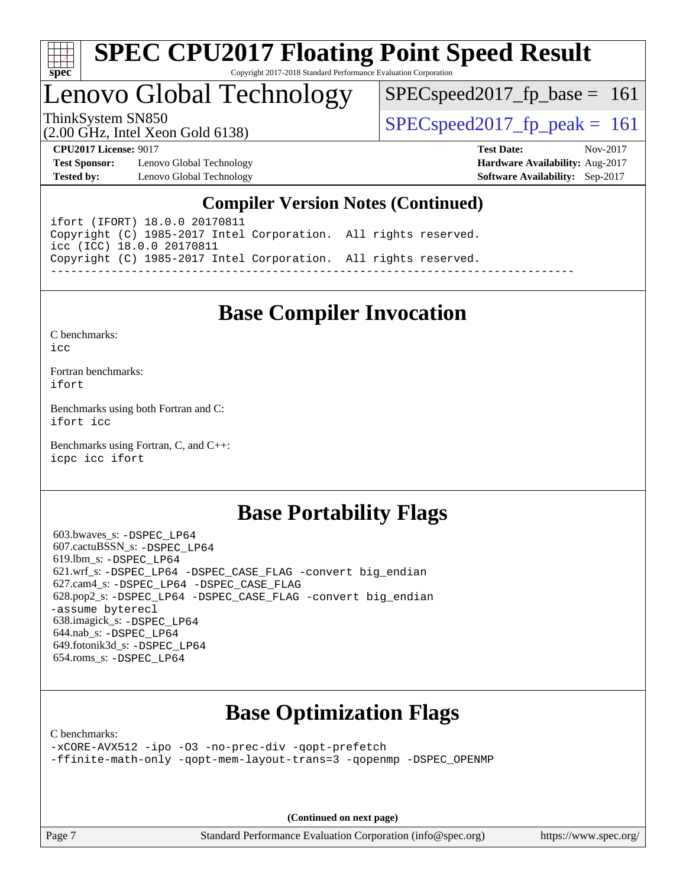

# Lenovo Global Technology

 $SPEC speed2017_fp\_base = 161$ 

(2.00 GHz, Intel Xeon Gold 6138)

ThinkSystem SN850<br>  $SPEC speed2017$  fp\_peak = 161

**[Test Sponsor:](http://www.spec.org/auto/cpu2017/Docs/result-fields.html#TestSponsor)** Lenovo Global Technology **[Hardware Availability:](http://www.spec.org/auto/cpu2017/Docs/result-fields.html#HardwareAvailability)** Aug-2017 **[Tested by:](http://www.spec.org/auto/cpu2017/Docs/result-fields.html#Testedby)** Lenovo Global Technology **[Software Availability:](http://www.spec.org/auto/cpu2017/Docs/result-fields.html#SoftwareAvailability)** Sep-2017

**[CPU2017 License:](http://www.spec.org/auto/cpu2017/Docs/result-fields.html#CPU2017License)** 9017 **[Test Date:](http://www.spec.org/auto/cpu2017/Docs/result-fields.html#TestDate)** Nov-2017

### **[Compiler Version Notes \(Continued\)](http://www.spec.org/auto/cpu2017/Docs/result-fields.html#CompilerVersionNotes)**

ifort (IFORT) 18.0.0 20170811 Copyright (C) 1985-2017 Intel Corporation. All rights reserved. icc (ICC) 18.0.0 20170811 Copyright (C) 1985-2017 Intel Corporation. All rights reserved. ------------------------------------------------------------------------------

# **[Base Compiler Invocation](http://www.spec.org/auto/cpu2017/Docs/result-fields.html#BaseCompilerInvocation)**

[C benchmarks](http://www.spec.org/auto/cpu2017/Docs/result-fields.html#Cbenchmarks):  $i$ cc

[Fortran benchmarks](http://www.spec.org/auto/cpu2017/Docs/result-fields.html#Fortranbenchmarks): [ifort](http://www.spec.org/cpu2017/results/res2017q4/cpu2017-20171114-00801.flags.html#user_FCbase_intel_ifort_18.0_8111460550e3ca792625aed983ce982f94888b8b503583aa7ba2b8303487b4d8a21a13e7191a45c5fd58ff318f48f9492884d4413fa793fd88dd292cad7027ca)

[Benchmarks using both Fortran and C](http://www.spec.org/auto/cpu2017/Docs/result-fields.html#BenchmarksusingbothFortranandC): [ifort](http://www.spec.org/cpu2017/results/res2017q4/cpu2017-20171114-00801.flags.html#user_CC_FCbase_intel_ifort_18.0_8111460550e3ca792625aed983ce982f94888b8b503583aa7ba2b8303487b4d8a21a13e7191a45c5fd58ff318f48f9492884d4413fa793fd88dd292cad7027ca) [icc](http://www.spec.org/cpu2017/results/res2017q4/cpu2017-20171114-00801.flags.html#user_CC_FCbase_intel_icc_18.0_66fc1ee009f7361af1fbd72ca7dcefbb700085f36577c54f309893dd4ec40d12360134090235512931783d35fd58c0460139e722d5067c5574d8eaf2b3e37e92)

[Benchmarks using Fortran, C, and C++:](http://www.spec.org/auto/cpu2017/Docs/result-fields.html#BenchmarksusingFortranCandCXX) [icpc](http://www.spec.org/cpu2017/results/res2017q4/cpu2017-20171114-00801.flags.html#user_CC_CXX_FCbase_intel_icpc_18.0_c510b6838c7f56d33e37e94d029a35b4a7bccf4766a728ee175e80a419847e808290a9b78be685c44ab727ea267ec2f070ec5dc83b407c0218cded6866a35d07) [icc](http://www.spec.org/cpu2017/results/res2017q4/cpu2017-20171114-00801.flags.html#user_CC_CXX_FCbase_intel_icc_18.0_66fc1ee009f7361af1fbd72ca7dcefbb700085f36577c54f309893dd4ec40d12360134090235512931783d35fd58c0460139e722d5067c5574d8eaf2b3e37e92) [ifort](http://www.spec.org/cpu2017/results/res2017q4/cpu2017-20171114-00801.flags.html#user_CC_CXX_FCbase_intel_ifort_18.0_8111460550e3ca792625aed983ce982f94888b8b503583aa7ba2b8303487b4d8a21a13e7191a45c5fd58ff318f48f9492884d4413fa793fd88dd292cad7027ca)

## **[Base Portability Flags](http://www.spec.org/auto/cpu2017/Docs/result-fields.html#BasePortabilityFlags)**

 603.bwaves\_s: [-DSPEC\\_LP64](http://www.spec.org/cpu2017/results/res2017q4/cpu2017-20171114-00801.flags.html#suite_basePORTABILITY603_bwaves_s_DSPEC_LP64) 607.cactuBSSN\_s: [-DSPEC\\_LP64](http://www.spec.org/cpu2017/results/res2017q4/cpu2017-20171114-00801.flags.html#suite_basePORTABILITY607_cactuBSSN_s_DSPEC_LP64) 619.lbm\_s: [-DSPEC\\_LP64](http://www.spec.org/cpu2017/results/res2017q4/cpu2017-20171114-00801.flags.html#suite_basePORTABILITY619_lbm_s_DSPEC_LP64) 621.wrf\_s: [-DSPEC\\_LP64](http://www.spec.org/cpu2017/results/res2017q4/cpu2017-20171114-00801.flags.html#suite_basePORTABILITY621_wrf_s_DSPEC_LP64) [-DSPEC\\_CASE\\_FLAG](http://www.spec.org/cpu2017/results/res2017q4/cpu2017-20171114-00801.flags.html#b621.wrf_s_baseCPORTABILITY_DSPEC_CASE_FLAG) [-convert big\\_endian](http://www.spec.org/cpu2017/results/res2017q4/cpu2017-20171114-00801.flags.html#user_baseFPORTABILITY621_wrf_s_convert_big_endian_c3194028bc08c63ac5d04de18c48ce6d347e4e562e8892b8bdbdc0214820426deb8554edfa529a3fb25a586e65a3d812c835984020483e7e73212c4d31a38223) 627.cam4\_s: [-DSPEC\\_LP64](http://www.spec.org/cpu2017/results/res2017q4/cpu2017-20171114-00801.flags.html#suite_basePORTABILITY627_cam4_s_DSPEC_LP64) [-DSPEC\\_CASE\\_FLAG](http://www.spec.org/cpu2017/results/res2017q4/cpu2017-20171114-00801.flags.html#b627.cam4_s_baseCPORTABILITY_DSPEC_CASE_FLAG) 628.pop2\_s: [-DSPEC\\_LP64](http://www.spec.org/cpu2017/results/res2017q4/cpu2017-20171114-00801.flags.html#suite_basePORTABILITY628_pop2_s_DSPEC_LP64) [-DSPEC\\_CASE\\_FLAG](http://www.spec.org/cpu2017/results/res2017q4/cpu2017-20171114-00801.flags.html#b628.pop2_s_baseCPORTABILITY_DSPEC_CASE_FLAG) [-convert big\\_endian](http://www.spec.org/cpu2017/results/res2017q4/cpu2017-20171114-00801.flags.html#user_baseFPORTABILITY628_pop2_s_convert_big_endian_c3194028bc08c63ac5d04de18c48ce6d347e4e562e8892b8bdbdc0214820426deb8554edfa529a3fb25a586e65a3d812c835984020483e7e73212c4d31a38223) [-assume byterecl](http://www.spec.org/cpu2017/results/res2017q4/cpu2017-20171114-00801.flags.html#user_baseFPORTABILITY628_pop2_s_assume_byterecl_7e47d18b9513cf18525430bbf0f2177aa9bf368bc7a059c09b2c06a34b53bd3447c950d3f8d6c70e3faf3a05c8557d66a5798b567902e8849adc142926523472) 638.imagick\_s: [-DSPEC\\_LP64](http://www.spec.org/cpu2017/results/res2017q4/cpu2017-20171114-00801.flags.html#suite_basePORTABILITY638_imagick_s_DSPEC_LP64) 644.nab\_s: [-DSPEC\\_LP64](http://www.spec.org/cpu2017/results/res2017q4/cpu2017-20171114-00801.flags.html#suite_basePORTABILITY644_nab_s_DSPEC_LP64) 649.fotonik3d\_s: [-DSPEC\\_LP64](http://www.spec.org/cpu2017/results/res2017q4/cpu2017-20171114-00801.flags.html#suite_basePORTABILITY649_fotonik3d_s_DSPEC_LP64) 654.roms\_s: [-DSPEC\\_LP64](http://www.spec.org/cpu2017/results/res2017q4/cpu2017-20171114-00801.flags.html#suite_basePORTABILITY654_roms_s_DSPEC_LP64)

# **[Base Optimization Flags](http://www.spec.org/auto/cpu2017/Docs/result-fields.html#BaseOptimizationFlags)**

[C benchmarks](http://www.spec.org/auto/cpu2017/Docs/result-fields.html#Cbenchmarks):

[-xCORE-AVX512](http://www.spec.org/cpu2017/results/res2017q4/cpu2017-20171114-00801.flags.html#user_CCbase_f-xCORE-AVX512) [-ipo](http://www.spec.org/cpu2017/results/res2017q4/cpu2017-20171114-00801.flags.html#user_CCbase_f-ipo) [-O3](http://www.spec.org/cpu2017/results/res2017q4/cpu2017-20171114-00801.flags.html#user_CCbase_f-O3) [-no-prec-div](http://www.spec.org/cpu2017/results/res2017q4/cpu2017-20171114-00801.flags.html#user_CCbase_f-no-prec-div) [-qopt-prefetch](http://www.spec.org/cpu2017/results/res2017q4/cpu2017-20171114-00801.flags.html#user_CCbase_f-qopt-prefetch) [-ffinite-math-only](http://www.spec.org/cpu2017/results/res2017q4/cpu2017-20171114-00801.flags.html#user_CCbase_f_finite_math_only_cb91587bd2077682c4b38af759c288ed7c732db004271a9512da14a4f8007909a5f1427ecbf1a0fb78ff2a814402c6114ac565ca162485bbcae155b5e4258871) [-qopt-mem-layout-trans=3](http://www.spec.org/cpu2017/results/res2017q4/cpu2017-20171114-00801.flags.html#user_CCbase_f-qopt-mem-layout-trans_de80db37974c74b1f0e20d883f0b675c88c3b01e9d123adea9b28688d64333345fb62bc4a798493513fdb68f60282f9a726aa07f478b2f7113531aecce732043) [-qopenmp](http://www.spec.org/cpu2017/results/res2017q4/cpu2017-20171114-00801.flags.html#user_CCbase_qopenmp_16be0c44f24f464004c6784a7acb94aca937f053568ce72f94b139a11c7c168634a55f6653758ddd83bcf7b8463e8028bb0b48b77bcddc6b78d5d95bb1df2967) [-DSPEC\\_OPENMP](http://www.spec.org/cpu2017/results/res2017q4/cpu2017-20171114-00801.flags.html#suite_CCbase_DSPEC_OPENMP)

**(Continued on next page)**

Page 7 Standard Performance Evaluation Corporation [\(info@spec.org\)](mailto:info@spec.org) <https://www.spec.org/>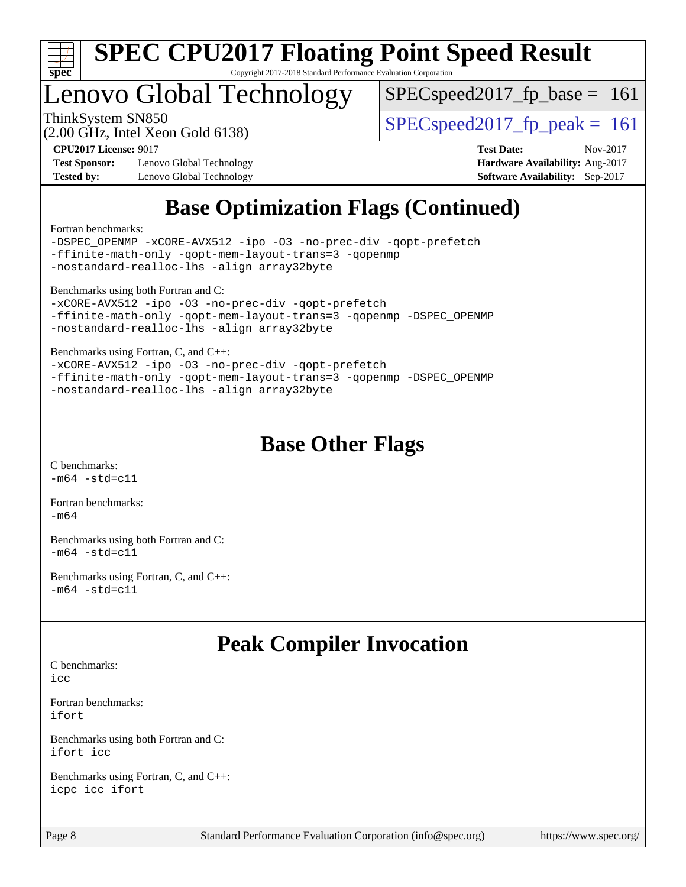

# Lenovo Global Technology

SPECspeed2017 fp base  $= 161$ 

(2.00 GHz, Intel Xeon Gold 6138)

ThinkSystem SN850<br>  $SPEC speed2017$  fp\_peak = 161

**[Test Sponsor:](http://www.spec.org/auto/cpu2017/Docs/result-fields.html#TestSponsor)** Lenovo Global Technology **[Hardware Availability:](http://www.spec.org/auto/cpu2017/Docs/result-fields.html#HardwareAvailability)** Aug-2017 **[Tested by:](http://www.spec.org/auto/cpu2017/Docs/result-fields.html#Testedby)** Lenovo Global Technology **[Software Availability:](http://www.spec.org/auto/cpu2017/Docs/result-fields.html#SoftwareAvailability)** Sep-2017

**[CPU2017 License:](http://www.spec.org/auto/cpu2017/Docs/result-fields.html#CPU2017License)** 9017 **[Test Date:](http://www.spec.org/auto/cpu2017/Docs/result-fields.html#TestDate)** Nov-2017

# **[Base Optimization Flags \(Continued\)](http://www.spec.org/auto/cpu2017/Docs/result-fields.html#BaseOptimizationFlags)**

[Fortran benchmarks](http://www.spec.org/auto/cpu2017/Docs/result-fields.html#Fortranbenchmarks):

[-DSPEC\\_OPENMP](http://www.spec.org/cpu2017/results/res2017q4/cpu2017-20171114-00801.flags.html#suite_FCbase_DSPEC_OPENMP) [-xCORE-AVX512](http://www.spec.org/cpu2017/results/res2017q4/cpu2017-20171114-00801.flags.html#user_FCbase_f-xCORE-AVX512) [-ipo](http://www.spec.org/cpu2017/results/res2017q4/cpu2017-20171114-00801.flags.html#user_FCbase_f-ipo) [-O3](http://www.spec.org/cpu2017/results/res2017q4/cpu2017-20171114-00801.flags.html#user_FCbase_f-O3) [-no-prec-div](http://www.spec.org/cpu2017/results/res2017q4/cpu2017-20171114-00801.flags.html#user_FCbase_f-no-prec-div) [-qopt-prefetch](http://www.spec.org/cpu2017/results/res2017q4/cpu2017-20171114-00801.flags.html#user_FCbase_f-qopt-prefetch) [-ffinite-math-only](http://www.spec.org/cpu2017/results/res2017q4/cpu2017-20171114-00801.flags.html#user_FCbase_f_finite_math_only_cb91587bd2077682c4b38af759c288ed7c732db004271a9512da14a4f8007909a5f1427ecbf1a0fb78ff2a814402c6114ac565ca162485bbcae155b5e4258871) [-qopt-mem-layout-trans=3](http://www.spec.org/cpu2017/results/res2017q4/cpu2017-20171114-00801.flags.html#user_FCbase_f-qopt-mem-layout-trans_de80db37974c74b1f0e20d883f0b675c88c3b01e9d123adea9b28688d64333345fb62bc4a798493513fdb68f60282f9a726aa07f478b2f7113531aecce732043) [-qopenmp](http://www.spec.org/cpu2017/results/res2017q4/cpu2017-20171114-00801.flags.html#user_FCbase_qopenmp_16be0c44f24f464004c6784a7acb94aca937f053568ce72f94b139a11c7c168634a55f6653758ddd83bcf7b8463e8028bb0b48b77bcddc6b78d5d95bb1df2967) [-nostandard-realloc-lhs](http://www.spec.org/cpu2017/results/res2017q4/cpu2017-20171114-00801.flags.html#user_FCbase_f_2003_std_realloc_82b4557e90729c0f113870c07e44d33d6f5a304b4f63d4c15d2d0f1fab99f5daaed73bdb9275d9ae411527f28b936061aa8b9c8f2d63842963b95c9dd6426b8a) [-align array32byte](http://www.spec.org/cpu2017/results/res2017q4/cpu2017-20171114-00801.flags.html#user_FCbase_align_array32byte_b982fe038af199962ba9a80c053b8342c548c85b40b8e86eb3cc33dee0d7986a4af373ac2d51c3f7cf710a18d62fdce2948f201cd044323541f22fc0fffc51b6)

[Benchmarks using both Fortran and C](http://www.spec.org/auto/cpu2017/Docs/result-fields.html#BenchmarksusingbothFortranandC):

```
-xCORE-AVX512 -ipo -O3 -no-prec-div -qopt-prefetch
-ffinite-math-only -qopt-mem-layout-trans=3 -qopenmp -DSPEC_OPENMP
-nostandard-realloc-lhs -align array32byte
```
[Benchmarks using Fortran, C, and C++:](http://www.spec.org/auto/cpu2017/Docs/result-fields.html#BenchmarksusingFortranCandCXX)

```
-xCORE-AVX512-ipo-no-prec-div-qopt-prefetch
-ffinite-math-only -qopt-mem-layout-trans=3 -qopenmp -DSPEC_OPENMP
-nostandard-realloc-lhs -align array32byte
```
## **[Base Other Flags](http://www.spec.org/auto/cpu2017/Docs/result-fields.html#BaseOtherFlags)**

[C benchmarks](http://www.spec.org/auto/cpu2017/Docs/result-fields.html#Cbenchmarks):  $-m64 - std = c11$  $-m64 - std = c11$ 

[Fortran benchmarks](http://www.spec.org/auto/cpu2017/Docs/result-fields.html#Fortranbenchmarks):  $-m64$ 

[Benchmarks using both Fortran and C](http://www.spec.org/auto/cpu2017/Docs/result-fields.html#BenchmarksusingbothFortranandC):  $-m64 - std= c11$  $-m64 - std= c11$ 

[Benchmarks using Fortran, C, and C++:](http://www.spec.org/auto/cpu2017/Docs/result-fields.html#BenchmarksusingFortranCandCXX)  $-m64 - std = c11$  $-m64 - std = c11$ 

## **[Peak Compiler Invocation](http://www.spec.org/auto/cpu2017/Docs/result-fields.html#PeakCompilerInvocation)**

[C benchmarks](http://www.spec.org/auto/cpu2017/Docs/result-fields.html#Cbenchmarks):  $i$ cc

[Fortran benchmarks](http://www.spec.org/auto/cpu2017/Docs/result-fields.html#Fortranbenchmarks): [ifort](http://www.spec.org/cpu2017/results/res2017q4/cpu2017-20171114-00801.flags.html#user_FCpeak_intel_ifort_18.0_8111460550e3ca792625aed983ce982f94888b8b503583aa7ba2b8303487b4d8a21a13e7191a45c5fd58ff318f48f9492884d4413fa793fd88dd292cad7027ca)

[Benchmarks using both Fortran and C](http://www.spec.org/auto/cpu2017/Docs/result-fields.html#BenchmarksusingbothFortranandC): [ifort](http://www.spec.org/cpu2017/results/res2017q4/cpu2017-20171114-00801.flags.html#user_CC_FCpeak_intel_ifort_18.0_8111460550e3ca792625aed983ce982f94888b8b503583aa7ba2b8303487b4d8a21a13e7191a45c5fd58ff318f48f9492884d4413fa793fd88dd292cad7027ca) [icc](http://www.spec.org/cpu2017/results/res2017q4/cpu2017-20171114-00801.flags.html#user_CC_FCpeak_intel_icc_18.0_66fc1ee009f7361af1fbd72ca7dcefbb700085f36577c54f309893dd4ec40d12360134090235512931783d35fd58c0460139e722d5067c5574d8eaf2b3e37e92)

[Benchmarks using Fortran, C, and C++:](http://www.spec.org/auto/cpu2017/Docs/result-fields.html#BenchmarksusingFortranCandCXX) [icpc](http://www.spec.org/cpu2017/results/res2017q4/cpu2017-20171114-00801.flags.html#user_CC_CXX_FCpeak_intel_icpc_18.0_c510b6838c7f56d33e37e94d029a35b4a7bccf4766a728ee175e80a419847e808290a9b78be685c44ab727ea267ec2f070ec5dc83b407c0218cded6866a35d07) [icc](http://www.spec.org/cpu2017/results/res2017q4/cpu2017-20171114-00801.flags.html#user_CC_CXX_FCpeak_intel_icc_18.0_66fc1ee009f7361af1fbd72ca7dcefbb700085f36577c54f309893dd4ec40d12360134090235512931783d35fd58c0460139e722d5067c5574d8eaf2b3e37e92) [ifort](http://www.spec.org/cpu2017/results/res2017q4/cpu2017-20171114-00801.flags.html#user_CC_CXX_FCpeak_intel_ifort_18.0_8111460550e3ca792625aed983ce982f94888b8b503583aa7ba2b8303487b4d8a21a13e7191a45c5fd58ff318f48f9492884d4413fa793fd88dd292cad7027ca)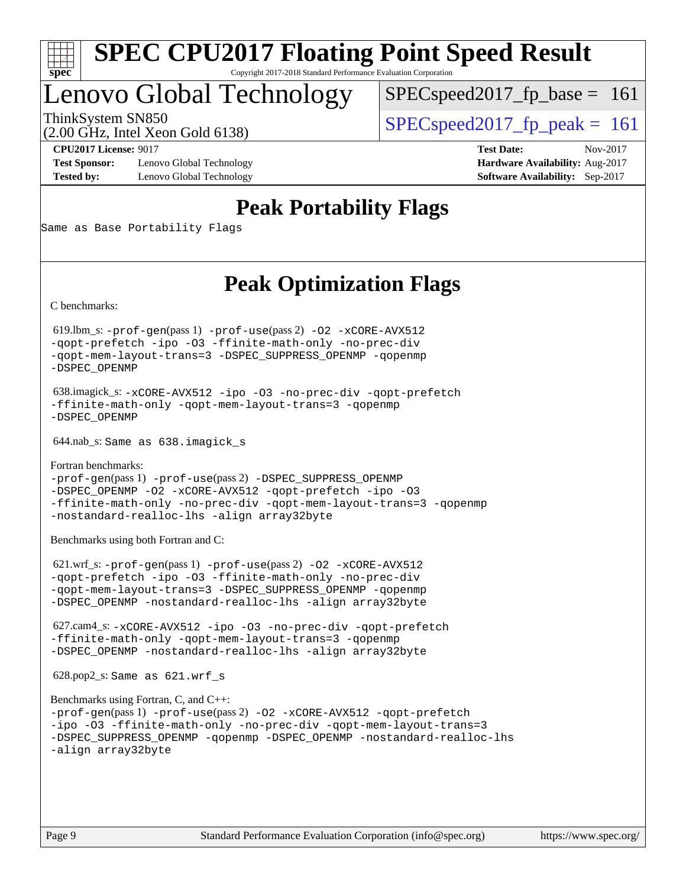

# Lenovo Global Technology

 $SPECspeed2017_fp\_base = 161$ 

(2.00 GHz, Intel Xeon Gold 6138)

ThinkSystem SN850<br>  $SPEC speed2017$  fp\_peak = 161

**[Test Sponsor:](http://www.spec.org/auto/cpu2017/Docs/result-fields.html#TestSponsor)** Lenovo Global Technology **[Hardware Availability:](http://www.spec.org/auto/cpu2017/Docs/result-fields.html#HardwareAvailability)** Aug-2017 **[Tested by:](http://www.spec.org/auto/cpu2017/Docs/result-fields.html#Testedby)** Lenovo Global Technology **[Software Availability:](http://www.spec.org/auto/cpu2017/Docs/result-fields.html#SoftwareAvailability)** Sep-2017

**[CPU2017 License:](http://www.spec.org/auto/cpu2017/Docs/result-fields.html#CPU2017License)** 9017 **[Test Date:](http://www.spec.org/auto/cpu2017/Docs/result-fields.html#TestDate)** Nov-2017

# **[Peak Portability Flags](http://www.spec.org/auto/cpu2017/Docs/result-fields.html#PeakPortabilityFlags)**

Same as Base Portability Flags

# **[Peak Optimization Flags](http://www.spec.org/auto/cpu2017/Docs/result-fields.html#PeakOptimizationFlags)**

[C benchmarks](http://www.spec.org/auto/cpu2017/Docs/result-fields.html#Cbenchmarks):

 619.lbm\_s: [-prof-gen](http://www.spec.org/cpu2017/results/res2017q4/cpu2017-20171114-00801.flags.html#user_peakPASS1_CFLAGSPASS1_LDFLAGS619_lbm_s_prof_gen_5aa4926d6013ddb2a31985c654b3eb18169fc0c6952a63635c234f711e6e63dd76e94ad52365559451ec499a2cdb89e4dc58ba4c67ef54ca681ffbe1461d6b36)(pass 1) [-prof-use](http://www.spec.org/cpu2017/results/res2017q4/cpu2017-20171114-00801.flags.html#user_peakPASS2_CFLAGSPASS2_LDFLAGS619_lbm_s_prof_use_1a21ceae95f36a2b53c25747139a6c16ca95bd9def2a207b4f0849963b97e94f5260e30a0c64f4bb623698870e679ca08317ef8150905d41bd88c6f78df73f19)(pass 2) [-O2](http://www.spec.org/cpu2017/results/res2017q4/cpu2017-20171114-00801.flags.html#user_peakPASS1_COPTIMIZE619_lbm_s_f-O2) [-xCORE-AVX512](http://www.spec.org/cpu2017/results/res2017q4/cpu2017-20171114-00801.flags.html#user_peakPASS2_COPTIMIZE619_lbm_s_f-xCORE-AVX512) [-qopt-prefetch](http://www.spec.org/cpu2017/results/res2017q4/cpu2017-20171114-00801.flags.html#user_peakPASS1_COPTIMIZEPASS2_COPTIMIZE619_lbm_s_f-qopt-prefetch) [-ipo](http://www.spec.org/cpu2017/results/res2017q4/cpu2017-20171114-00801.flags.html#user_peakPASS2_COPTIMIZE619_lbm_s_f-ipo) [-O3](http://www.spec.org/cpu2017/results/res2017q4/cpu2017-20171114-00801.flags.html#user_peakPASS2_COPTIMIZE619_lbm_s_f-O3) [-ffinite-math-only](http://www.spec.org/cpu2017/results/res2017q4/cpu2017-20171114-00801.flags.html#user_peakPASS1_COPTIMIZEPASS2_COPTIMIZE619_lbm_s_f_finite_math_only_cb91587bd2077682c4b38af759c288ed7c732db004271a9512da14a4f8007909a5f1427ecbf1a0fb78ff2a814402c6114ac565ca162485bbcae155b5e4258871) [-no-prec-div](http://www.spec.org/cpu2017/results/res2017q4/cpu2017-20171114-00801.flags.html#user_peakPASS2_COPTIMIZE619_lbm_s_f-no-prec-div) [-qopt-mem-layout-trans=3](http://www.spec.org/cpu2017/results/res2017q4/cpu2017-20171114-00801.flags.html#user_peakPASS1_COPTIMIZEPASS2_COPTIMIZE619_lbm_s_f-qopt-mem-layout-trans_de80db37974c74b1f0e20d883f0b675c88c3b01e9d123adea9b28688d64333345fb62bc4a798493513fdb68f60282f9a726aa07f478b2f7113531aecce732043) [-DSPEC\\_SUPPRESS\\_OPENMP](http://www.spec.org/cpu2017/results/res2017q4/cpu2017-20171114-00801.flags.html#suite_peakPASS1_COPTIMIZE619_lbm_s_DSPEC_SUPPRESS_OPENMP) [-qopenmp](http://www.spec.org/cpu2017/results/res2017q4/cpu2017-20171114-00801.flags.html#user_peakPASS2_COPTIMIZE619_lbm_s_qopenmp_16be0c44f24f464004c6784a7acb94aca937f053568ce72f94b139a11c7c168634a55f6653758ddd83bcf7b8463e8028bb0b48b77bcddc6b78d5d95bb1df2967) [-DSPEC\\_OPENMP](http://www.spec.org/cpu2017/results/res2017q4/cpu2017-20171114-00801.flags.html#suite_peakPASS2_COPTIMIZE619_lbm_s_DSPEC_OPENMP)

 638.imagick\_s: [-xCORE-AVX512](http://www.spec.org/cpu2017/results/res2017q4/cpu2017-20171114-00801.flags.html#user_peakCOPTIMIZE638_imagick_s_f-xCORE-AVX512) [-ipo](http://www.spec.org/cpu2017/results/res2017q4/cpu2017-20171114-00801.flags.html#user_peakCOPTIMIZE638_imagick_s_f-ipo) [-O3](http://www.spec.org/cpu2017/results/res2017q4/cpu2017-20171114-00801.flags.html#user_peakCOPTIMIZE638_imagick_s_f-O3) [-no-prec-div](http://www.spec.org/cpu2017/results/res2017q4/cpu2017-20171114-00801.flags.html#user_peakCOPTIMIZE638_imagick_s_f-no-prec-div) [-qopt-prefetch](http://www.spec.org/cpu2017/results/res2017q4/cpu2017-20171114-00801.flags.html#user_peakCOPTIMIZE638_imagick_s_f-qopt-prefetch) [-ffinite-math-only](http://www.spec.org/cpu2017/results/res2017q4/cpu2017-20171114-00801.flags.html#user_peakCOPTIMIZE638_imagick_s_f_finite_math_only_cb91587bd2077682c4b38af759c288ed7c732db004271a9512da14a4f8007909a5f1427ecbf1a0fb78ff2a814402c6114ac565ca162485bbcae155b5e4258871) [-qopt-mem-layout-trans=3](http://www.spec.org/cpu2017/results/res2017q4/cpu2017-20171114-00801.flags.html#user_peakCOPTIMIZE638_imagick_s_f-qopt-mem-layout-trans_de80db37974c74b1f0e20d883f0b675c88c3b01e9d123adea9b28688d64333345fb62bc4a798493513fdb68f60282f9a726aa07f478b2f7113531aecce732043) [-qopenmp](http://www.spec.org/cpu2017/results/res2017q4/cpu2017-20171114-00801.flags.html#user_peakCOPTIMIZE638_imagick_s_qopenmp_16be0c44f24f464004c6784a7acb94aca937f053568ce72f94b139a11c7c168634a55f6653758ddd83bcf7b8463e8028bb0b48b77bcddc6b78d5d95bb1df2967) [-DSPEC\\_OPENMP](http://www.spec.org/cpu2017/results/res2017q4/cpu2017-20171114-00801.flags.html#suite_peakCOPTIMIZE638_imagick_s_DSPEC_OPENMP)

644.nab\_s: Same as 638.imagick\_s

[Fortran benchmarks](http://www.spec.org/auto/cpu2017/Docs/result-fields.html#Fortranbenchmarks): [-prof-gen](http://www.spec.org/cpu2017/results/res2017q4/cpu2017-20171114-00801.flags.html#user_FCpeak_prof_gen_5aa4926d6013ddb2a31985c654b3eb18169fc0c6952a63635c234f711e6e63dd76e94ad52365559451ec499a2cdb89e4dc58ba4c67ef54ca681ffbe1461d6b36)(pass 1) [-prof-use](http://www.spec.org/cpu2017/results/res2017q4/cpu2017-20171114-00801.flags.html#user_FCpeak_prof_use_1a21ceae95f36a2b53c25747139a6c16ca95bd9def2a207b4f0849963b97e94f5260e30a0c64f4bb623698870e679ca08317ef8150905d41bd88c6f78df73f19)(pass 2) [-DSPEC\\_SUPPRESS\\_OPENMP](http://www.spec.org/cpu2017/results/res2017q4/cpu2017-20171114-00801.flags.html#suite_FCpeak_DSPEC_SUPPRESS_OPENMP) [-DSPEC\\_OPENMP](http://www.spec.org/cpu2017/results/res2017q4/cpu2017-20171114-00801.flags.html#suite_FCpeak_DSPEC_OPENMP) [-O2](http://www.spec.org/cpu2017/results/res2017q4/cpu2017-20171114-00801.flags.html#user_FCpeak_f-O2) [-xCORE-AVX512](http://www.spec.org/cpu2017/results/res2017q4/cpu2017-20171114-00801.flags.html#user_FCpeak_f-xCORE-AVX512) [-qopt-prefetch](http://www.spec.org/cpu2017/results/res2017q4/cpu2017-20171114-00801.flags.html#user_FCpeak_f-qopt-prefetch) [-ipo](http://www.spec.org/cpu2017/results/res2017q4/cpu2017-20171114-00801.flags.html#user_FCpeak_f-ipo) [-O3](http://www.spec.org/cpu2017/results/res2017q4/cpu2017-20171114-00801.flags.html#user_FCpeak_f-O3) [-ffinite-math-only](http://www.spec.org/cpu2017/results/res2017q4/cpu2017-20171114-00801.flags.html#user_FCpeak_f_finite_math_only_cb91587bd2077682c4b38af759c288ed7c732db004271a9512da14a4f8007909a5f1427ecbf1a0fb78ff2a814402c6114ac565ca162485bbcae155b5e4258871) [-no-prec-div](http://www.spec.org/cpu2017/results/res2017q4/cpu2017-20171114-00801.flags.html#user_FCpeak_f-no-prec-div) [-qopt-mem-layout-trans=3](http://www.spec.org/cpu2017/results/res2017q4/cpu2017-20171114-00801.flags.html#user_FCpeak_f-qopt-mem-layout-trans_de80db37974c74b1f0e20d883f0b675c88c3b01e9d123adea9b28688d64333345fb62bc4a798493513fdb68f60282f9a726aa07f478b2f7113531aecce732043) [-qopenmp](http://www.spec.org/cpu2017/results/res2017q4/cpu2017-20171114-00801.flags.html#user_FCpeak_qopenmp_16be0c44f24f464004c6784a7acb94aca937f053568ce72f94b139a11c7c168634a55f6653758ddd83bcf7b8463e8028bb0b48b77bcddc6b78d5d95bb1df2967) [-nostandard-realloc-lhs](http://www.spec.org/cpu2017/results/res2017q4/cpu2017-20171114-00801.flags.html#user_FCpeak_f_2003_std_realloc_82b4557e90729c0f113870c07e44d33d6f5a304b4f63d4c15d2d0f1fab99f5daaed73bdb9275d9ae411527f28b936061aa8b9c8f2d63842963b95c9dd6426b8a) [-align array32byte](http://www.spec.org/cpu2017/results/res2017q4/cpu2017-20171114-00801.flags.html#user_FCpeak_align_array32byte_b982fe038af199962ba9a80c053b8342c548c85b40b8e86eb3cc33dee0d7986a4af373ac2d51c3f7cf710a18d62fdce2948f201cd044323541f22fc0fffc51b6)

[Benchmarks using both Fortran and C](http://www.spec.org/auto/cpu2017/Docs/result-fields.html#BenchmarksusingbothFortranandC):

 621.wrf\_s: [-prof-gen](http://www.spec.org/cpu2017/results/res2017q4/cpu2017-20171114-00801.flags.html#user_peakPASS1_CFLAGSPASS1_FFLAGSPASS1_LDFLAGS621_wrf_s_prof_gen_5aa4926d6013ddb2a31985c654b3eb18169fc0c6952a63635c234f711e6e63dd76e94ad52365559451ec499a2cdb89e4dc58ba4c67ef54ca681ffbe1461d6b36)(pass 1) [-prof-use](http://www.spec.org/cpu2017/results/res2017q4/cpu2017-20171114-00801.flags.html#user_peakPASS2_CFLAGSPASS2_FFLAGSPASS2_LDFLAGS621_wrf_s_prof_use_1a21ceae95f36a2b53c25747139a6c16ca95bd9def2a207b4f0849963b97e94f5260e30a0c64f4bb623698870e679ca08317ef8150905d41bd88c6f78df73f19)(pass 2) [-O2](http://www.spec.org/cpu2017/results/res2017q4/cpu2017-20171114-00801.flags.html#user_peakPASS1_COPTIMIZEPASS1_FOPTIMIZE621_wrf_s_f-O2) [-xCORE-AVX512](http://www.spec.org/cpu2017/results/res2017q4/cpu2017-20171114-00801.flags.html#user_peakPASS2_COPTIMIZEPASS2_FOPTIMIZE621_wrf_s_f-xCORE-AVX512) [-qopt-prefetch](http://www.spec.org/cpu2017/results/res2017q4/cpu2017-20171114-00801.flags.html#user_peakPASS1_COPTIMIZEPASS1_FOPTIMIZEPASS2_COPTIMIZEPASS2_FOPTIMIZE621_wrf_s_f-qopt-prefetch) [-ipo](http://www.spec.org/cpu2017/results/res2017q4/cpu2017-20171114-00801.flags.html#user_peakPASS2_COPTIMIZEPASS2_FOPTIMIZE621_wrf_s_f-ipo) [-O3](http://www.spec.org/cpu2017/results/res2017q4/cpu2017-20171114-00801.flags.html#user_peakPASS2_COPTIMIZEPASS2_FOPTIMIZE621_wrf_s_f-O3) [-ffinite-math-only](http://www.spec.org/cpu2017/results/res2017q4/cpu2017-20171114-00801.flags.html#user_peakPASS1_COPTIMIZEPASS1_FOPTIMIZEPASS2_COPTIMIZEPASS2_FOPTIMIZE621_wrf_s_f_finite_math_only_cb91587bd2077682c4b38af759c288ed7c732db004271a9512da14a4f8007909a5f1427ecbf1a0fb78ff2a814402c6114ac565ca162485bbcae155b5e4258871) [-no-prec-div](http://www.spec.org/cpu2017/results/res2017q4/cpu2017-20171114-00801.flags.html#user_peakPASS2_COPTIMIZEPASS2_FOPTIMIZE621_wrf_s_f-no-prec-div) [-qopt-mem-layout-trans=3](http://www.spec.org/cpu2017/results/res2017q4/cpu2017-20171114-00801.flags.html#user_peakPASS1_COPTIMIZEPASS1_FOPTIMIZEPASS2_COPTIMIZEPASS2_FOPTIMIZE621_wrf_s_f-qopt-mem-layout-trans_de80db37974c74b1f0e20d883f0b675c88c3b01e9d123adea9b28688d64333345fb62bc4a798493513fdb68f60282f9a726aa07f478b2f7113531aecce732043) [-DSPEC\\_SUPPRESS\\_OPENMP](http://www.spec.org/cpu2017/results/res2017q4/cpu2017-20171114-00801.flags.html#suite_peakPASS1_COPTIMIZEPASS1_FOPTIMIZE621_wrf_s_DSPEC_SUPPRESS_OPENMP) [-qopenmp](http://www.spec.org/cpu2017/results/res2017q4/cpu2017-20171114-00801.flags.html#user_peakPASS2_COPTIMIZEPASS2_FOPTIMIZE621_wrf_s_qopenmp_16be0c44f24f464004c6784a7acb94aca937f053568ce72f94b139a11c7c168634a55f6653758ddd83bcf7b8463e8028bb0b48b77bcddc6b78d5d95bb1df2967) [-DSPEC\\_OPENMP](http://www.spec.org/cpu2017/results/res2017q4/cpu2017-20171114-00801.flags.html#suite_peakPASS2_COPTIMIZEPASS2_FOPTIMIZE621_wrf_s_DSPEC_OPENMP) [-nostandard-realloc-lhs](http://www.spec.org/cpu2017/results/res2017q4/cpu2017-20171114-00801.flags.html#user_peakEXTRA_FOPTIMIZE621_wrf_s_f_2003_std_realloc_82b4557e90729c0f113870c07e44d33d6f5a304b4f63d4c15d2d0f1fab99f5daaed73bdb9275d9ae411527f28b936061aa8b9c8f2d63842963b95c9dd6426b8a) [-align array32byte](http://www.spec.org/cpu2017/results/res2017q4/cpu2017-20171114-00801.flags.html#user_peakEXTRA_FOPTIMIZE621_wrf_s_align_array32byte_b982fe038af199962ba9a80c053b8342c548c85b40b8e86eb3cc33dee0d7986a4af373ac2d51c3f7cf710a18d62fdce2948f201cd044323541f22fc0fffc51b6)

 627.cam4\_s: [-xCORE-AVX512](http://www.spec.org/cpu2017/results/res2017q4/cpu2017-20171114-00801.flags.html#user_peakCOPTIMIZEFOPTIMIZE627_cam4_s_f-xCORE-AVX512) [-ipo](http://www.spec.org/cpu2017/results/res2017q4/cpu2017-20171114-00801.flags.html#user_peakCOPTIMIZEFOPTIMIZE627_cam4_s_f-ipo) [-O3](http://www.spec.org/cpu2017/results/res2017q4/cpu2017-20171114-00801.flags.html#user_peakCOPTIMIZEFOPTIMIZE627_cam4_s_f-O3) [-no-prec-div](http://www.spec.org/cpu2017/results/res2017q4/cpu2017-20171114-00801.flags.html#user_peakCOPTIMIZEFOPTIMIZE627_cam4_s_f-no-prec-div) [-qopt-prefetch](http://www.spec.org/cpu2017/results/res2017q4/cpu2017-20171114-00801.flags.html#user_peakCOPTIMIZEFOPTIMIZE627_cam4_s_f-qopt-prefetch) [-ffinite-math-only](http://www.spec.org/cpu2017/results/res2017q4/cpu2017-20171114-00801.flags.html#user_peakCOPTIMIZEFOPTIMIZE627_cam4_s_f_finite_math_only_cb91587bd2077682c4b38af759c288ed7c732db004271a9512da14a4f8007909a5f1427ecbf1a0fb78ff2a814402c6114ac565ca162485bbcae155b5e4258871) [-qopt-mem-layout-trans=3](http://www.spec.org/cpu2017/results/res2017q4/cpu2017-20171114-00801.flags.html#user_peakCOPTIMIZEFOPTIMIZE627_cam4_s_f-qopt-mem-layout-trans_de80db37974c74b1f0e20d883f0b675c88c3b01e9d123adea9b28688d64333345fb62bc4a798493513fdb68f60282f9a726aa07f478b2f7113531aecce732043) [-qopenmp](http://www.spec.org/cpu2017/results/res2017q4/cpu2017-20171114-00801.flags.html#user_peakCOPTIMIZEFOPTIMIZE627_cam4_s_qopenmp_16be0c44f24f464004c6784a7acb94aca937f053568ce72f94b139a11c7c168634a55f6653758ddd83bcf7b8463e8028bb0b48b77bcddc6b78d5d95bb1df2967) [-DSPEC\\_OPENMP](http://www.spec.org/cpu2017/results/res2017q4/cpu2017-20171114-00801.flags.html#suite_peakCOPTIMIZEFOPTIMIZE627_cam4_s_DSPEC_OPENMP) [-nostandard-realloc-lhs](http://www.spec.org/cpu2017/results/res2017q4/cpu2017-20171114-00801.flags.html#user_peakEXTRA_FOPTIMIZE627_cam4_s_f_2003_std_realloc_82b4557e90729c0f113870c07e44d33d6f5a304b4f63d4c15d2d0f1fab99f5daaed73bdb9275d9ae411527f28b936061aa8b9c8f2d63842963b95c9dd6426b8a) [-align array32byte](http://www.spec.org/cpu2017/results/res2017q4/cpu2017-20171114-00801.flags.html#user_peakEXTRA_FOPTIMIZE627_cam4_s_align_array32byte_b982fe038af199962ba9a80c053b8342c548c85b40b8e86eb3cc33dee0d7986a4af373ac2d51c3f7cf710a18d62fdce2948f201cd044323541f22fc0fffc51b6)

628.pop2\_s: Same as 621.wrf\_s

```
Benchmarks using Fortran, C, and C++: 
-prof-gen(pass 1) -prof-use(pass 2) -O2 -xCORE-AVX512 -qopt-prefetch
-ipo -O3 -ffinite-math-only -no-prec-div -qopt-mem-layout-trans=3
-DSPEC_SUPPRESS_OPENMP -qopenmp -DSPEC_OPENMP -nostandard-realloc-lhs
-align array32byte
```